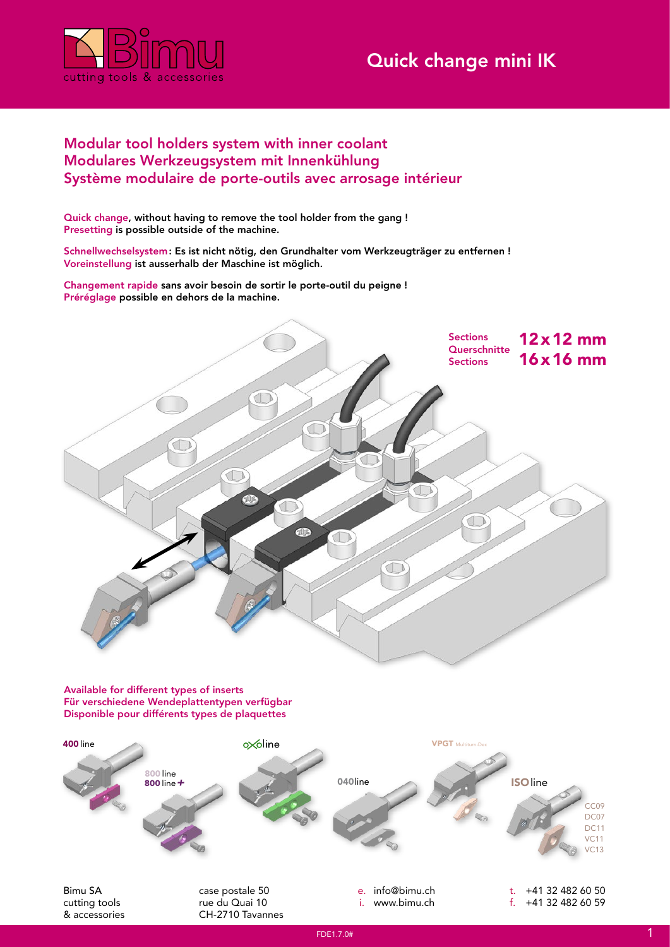

### Modular tool holders system with inner coolant Modulares Werkzeugsystem mit Innenkühlung Système modulaire de porte-outils avec arrosage intérieur

Quick change, without having to remove the tool holder from the gang ! Presetting is possible outside of the machine.

Schnellwechselsystem: Es ist nicht nötig, den Grundhalter vom Werkzeugträger zu entfernen ! Voreinstellung ist ausserhalb der Maschine ist möglich.

Changement rapide sans avoir besoin de sortir le porte-outil du peigne ! Préréglage possible en dehors de la machine.



Available for different types of inserts Für verschiedene Wendeplattentypen verfügbar Disponible pour différents types de plaquettes

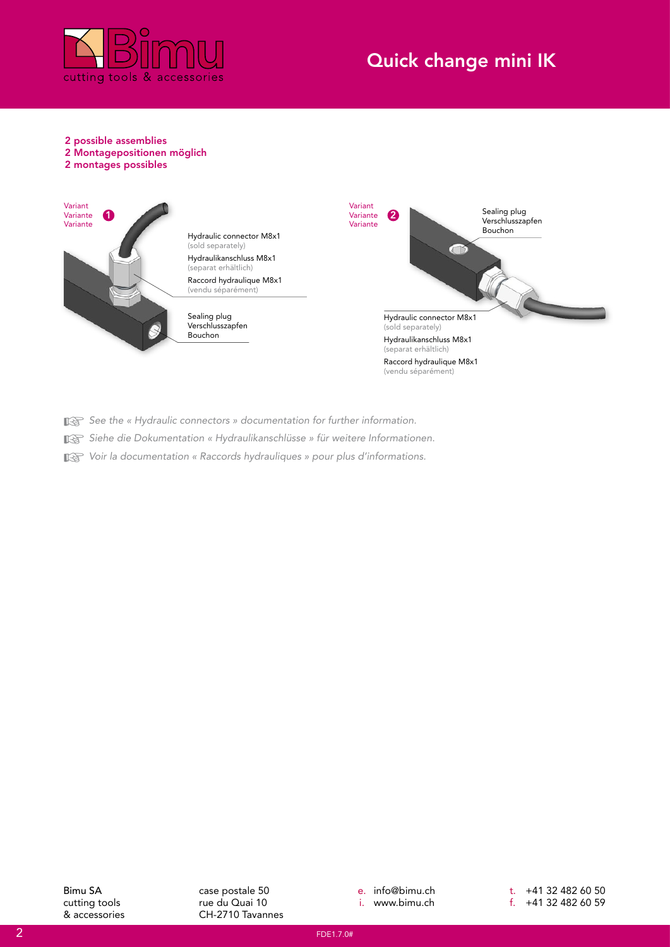

### 2 possible assemblies 2 Montagepositionen möglich 2 montages possibles



- ☞ *See the « Hydraulic connectors » documentation for further information.*
- ☞ *Siehe die Dokumentation « Hydraulikanschlüsse » für weitere Informationen.*
- ☞ *Voir la documentation « Raccords hydrauliques » pour plus d'informations.*

Bimu SA cutting tools & accessories case postale 50 rue du Quai 10 CH-2710 Tavannes e. info@bimu.ch i. www.bimu.ch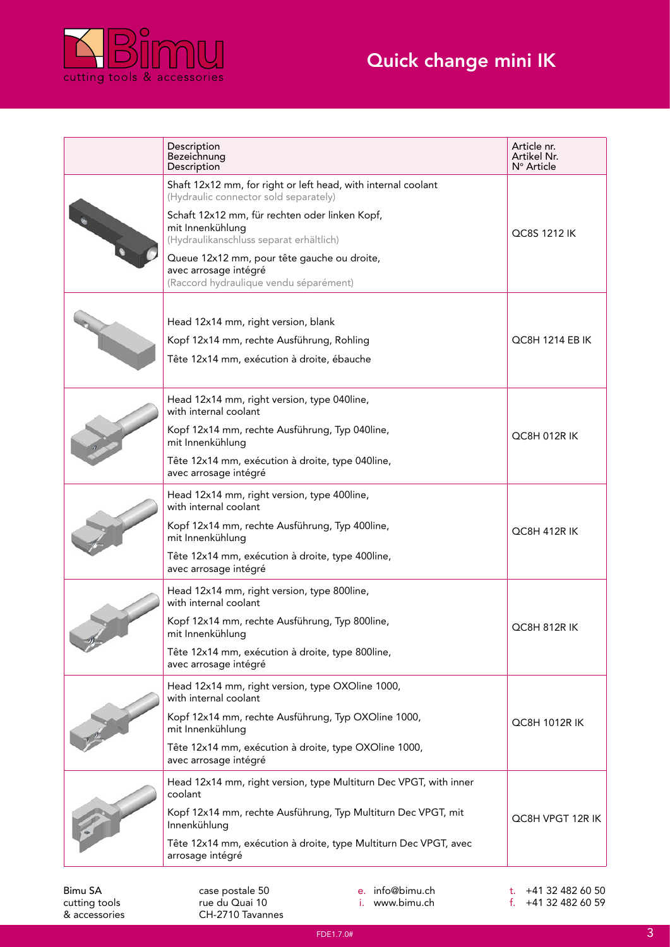

| Description<br>Bezeichnung<br>Description                                                                                                                                                                                                                                                                                                 | Article nr.<br>Artikel Nr.<br>Nº Article |
|-------------------------------------------------------------------------------------------------------------------------------------------------------------------------------------------------------------------------------------------------------------------------------------------------------------------------------------------|------------------------------------------|
| Shaft 12x12 mm, for right or left head, with internal coolant<br>(Hydraulic connector sold separately)<br>Schaft 12x12 mm, für rechten oder linken Kopf,<br>mit Innenkühlung<br>(Hydraulikanschluss separat erhältlich)<br>Queue 12x12 mm, pour tête gauche ou droite,<br>avec arrosage intégré<br>(Raccord hydraulique vendu séparément) | <b>QC8S 1212 IK</b>                      |
| Head 12x14 mm, right version, blank<br>Kopf 12x14 mm, rechte Ausführung, Rohling<br>Tête 12x14 mm, exécution à droite, ébauche                                                                                                                                                                                                            | <b>QC8H 1214 EB IK</b>                   |
| Head 12x14 mm, right version, type 040line,<br>with internal coolant<br>Kopf 12x14 mm, rechte Ausführung, Typ 040line,<br>mit Innenkühlung<br>Tête 12x14 mm, exécution à droite, type 040line,<br>avec arrosage intégré                                                                                                                   | QC8H 012R IK                             |
| Head 12x14 mm, right version, type 400line,<br>with internal coolant<br>Kopf 12x14 mm, rechte Ausführung, Typ 400line,<br>mit Innenkühlung<br>Tête 12x14 mm, exécution à droite, type 400line,<br>avec arrosage intégré                                                                                                                   | QC8H 412R IK                             |
| Head 12x14 mm, right version, type 800line,<br>with internal coolant<br>Kopf 12x14 mm, rechte Ausführung, Typ 800line,<br>mit Innenkühlung<br>Tête 12x14 mm, exécution à droite, type 800line,<br>avec arrosage intégré                                                                                                                   | QC8H 812R IK                             |
| Head 12x14 mm, right version, type OXOline 1000,<br>with internal coolant<br>Kopf 12x14 mm, rechte Ausführung, Typ OXOline 1000,<br>mit Innenkühlung<br>Tête 12x14 mm, exécution à droite, type OXOline 1000,<br>avec arrosage intégré                                                                                                    | <b>QC8H 1012R IK</b>                     |
| Head 12x14 mm, right version, type Multiturn Dec VPGT, with inner<br>coolant<br>Kopf 12x14 mm, rechte Ausführung, Typ Multiturn Dec VPGT, mit<br>Innenkühlung<br>Tête 12x14 mm, exécution à droite, type Multiturn Dec VPGT, avec<br>arrosage intégré                                                                                     | QC8H VPGT 12R IK                         |
|                                                                                                                                                                                                                                                                                                                                           |                                          |

Bimu SA cutting tools & accessories e. info@bimu.ch i. www.bimu.ch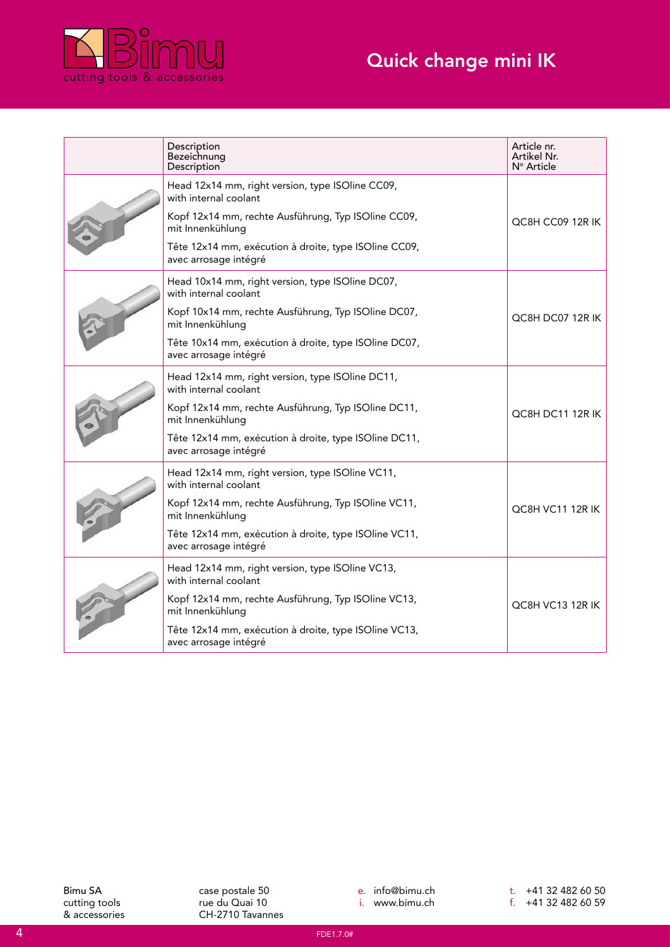



|  | Description<br>Bezeichnung<br>Description                                      | Article nr.<br>Artikel Nr.<br>Nº Article |
|--|--------------------------------------------------------------------------------|------------------------------------------|
|  | Head 12x14 mm, right version, type ISOline CC09,<br>with internal coolant      |                                          |
|  | Kopf 12x14 mm, rechte Ausführung, Typ ISOline CC09,<br>mit Innenkühlung        | QC8H CC09 12R IK                         |
|  | Tête 12x14 mm, exécution à droite, type ISOline CC09,<br>avec arrosage intégré |                                          |
|  | Head 10x14 mm, right version, type ISOline DC07,<br>with internal coolant      |                                          |
|  | Kopf 10x14 mm, rechte Ausführung, Typ ISOline DC07,<br>mit Innenkühlung        | OC8H DC07 12R IK                         |
|  | Tête 10x14 mm, exécution à droite, type ISOline DC07,<br>avec arrosage intégré |                                          |
|  | Head 12x14 mm, right version, type ISOline DC11,<br>with internal coolant      |                                          |
|  | Kopf 12x14 mm, rechte Ausführung, Typ ISOline DC11,<br>mit Innenkühlung        | OC8H DC11 12R IK                         |
|  | Tête 12x14 mm, exécution à droite, type ISOline DC11,<br>avec arrosage intégré |                                          |
|  | Head 12x14 mm, right version, type ISOline VC11,<br>with internal coolant      |                                          |
|  | Kopf 12x14 mm, rechte Ausführung, Typ ISOline VC11,<br>mit Innenkühlung        | QC8H VC11 12R IK                         |
|  | Tête 12x14 mm, exécution à droite, type ISOline VC11,<br>avec arrosage intégré |                                          |
|  | Head 12x14 mm, right version, type ISOline VC13,<br>with internal coolant      |                                          |
|  | Kopf 12x14 mm, rechte Ausführung, Typ ISOline VC13,<br>mit Innenkühlung        | QC8H VC13 12R IK                         |
|  | Tête 12x14 mm, exécution à droite, type ISOline VC13,<br>avec arrosage intégré |                                          |

Bimu SA cutting tools & accessories case postale 50 rue du Quai 10 CH-2710 Tavannes e. info@bimu.ch

i. www.bimu.ch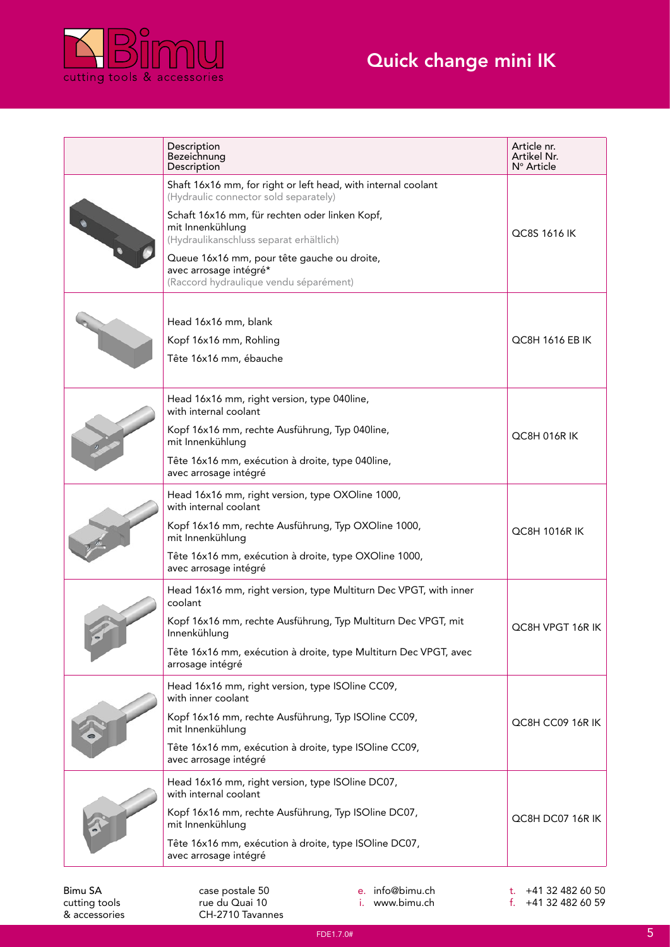

|         | Description<br>Bezeichnung<br>Description                                                                                                                                                                                                                                                                                                  |                 | Article nr.<br>Artikel Nr.<br>N° Article |
|---------|--------------------------------------------------------------------------------------------------------------------------------------------------------------------------------------------------------------------------------------------------------------------------------------------------------------------------------------------|-----------------|------------------------------------------|
|         | Shaft 16x16 mm, for right or left head, with internal coolant<br>(Hydraulic connector sold separately)<br>Schaft 16x16 mm, für rechten oder linken Kopf,<br>mit Innenkühlung<br>(Hydraulikanschluss separat erhältlich)<br>Queue 16x16 mm, pour tête gauche ou droite,<br>avec arrosage intégré*<br>(Raccord hydraulique vendu séparément) |                 | <b>QC8S 1616 IK</b>                      |
|         | Head 16x16 mm, blank<br>Kopf 16x16 mm, Rohling<br>Tête 16x16 mm, ébauche                                                                                                                                                                                                                                                                   |                 | <b>QC8H 1616 EB IK</b>                   |
|         | Head 16x16 mm, right version, type 040line,<br>with internal coolant<br>Kopf 16x16 mm, rechte Ausführung, Typ 040line,<br>mit Innenkühlung<br>Tête 16x16 mm, exécution à droite, type 040line,<br>avec arrosage intégré                                                                                                                    |                 | QC8H 016R IK                             |
|         | Head 16x16 mm, right version, type OXOline 1000,<br>with internal coolant<br>Kopf 16x16 mm, rechte Ausführung, Typ OXOline 1000,<br>mit Innenkühlung<br>Tête 16x16 mm, exécution à droite, type OXOline 1000,<br>avec arrosage intégré                                                                                                     |                 | <b>QC8H 1016R IK</b>                     |
|         | Head 16x16 mm, right version, type Multiturn Dec VPGT, with inner<br>coolant<br>Kopf 16x16 mm, rechte Ausführung, Typ Multiturn Dec VPGT, mit<br>Innenkühlung<br>Tête 16x16 mm, exécution à droite, type Multiturn Dec VPGT, avec<br>arrosage intégré                                                                                      |                 | QC8H VPGT 16R IK                         |
|         | Head 16x16 mm, right version, type ISOline CC09,<br>with inner coolant<br>Kopf 16x16 mm, rechte Ausführung, Typ ISOline CC09,<br>mit Innenkühlung<br>Tête 16x16 mm, exécution à droite, type ISOline CC09,<br>avec arrosage intégré                                                                                                        |                 | QC8H CC09 16R IK                         |
|         | Head 16x16 mm, right version, type ISOline DC07,<br>with internal coolant<br>Kopf 16x16 mm, rechte Ausführung, Typ ISOline DC07,<br>mit Innenkühlung<br>Tête 16x16 mm, exécution à droite, type ISOline DC07,<br>avec arrosage intégré                                                                                                     |                 | QC8H DC07 16R IK                         |
| Bimu SA | case postale 50                                                                                                                                                                                                                                                                                                                            | e. info@bimu.ch | t. $+41$ 32 482 60 50                    |

cutting tools & accessories i. www.bimu.ch

f. +41 32 482 60 59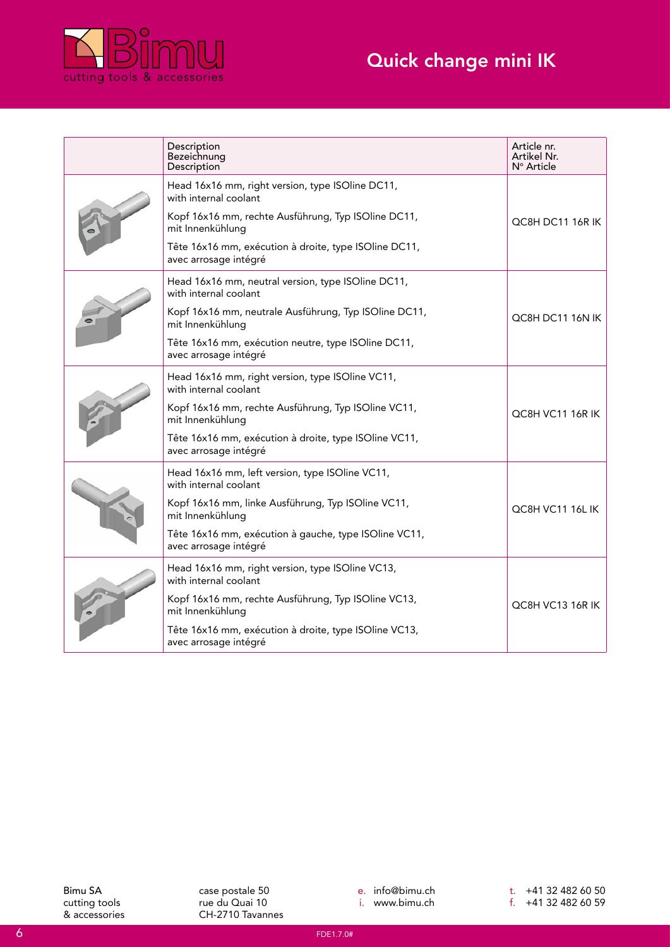

|  | Description<br>Bezeichnung<br>Description                                      | Article nr.<br>Artikel Nr.<br>Nº Article |
|--|--------------------------------------------------------------------------------|------------------------------------------|
|  | Head 16x16 mm, right version, type ISOline DC11,<br>with internal coolant      |                                          |
|  | Kopf 16x16 mm, rechte Ausführung, Typ ISOline DC11,<br>mit Innenkühlung        | QC8H DC11 16R IK                         |
|  | Tête 16x16 mm, exécution à droite, type ISOline DC11,<br>avec arrosage intégré |                                          |
|  | Head 16x16 mm, neutral version, type ISOline DC11,<br>with internal coolant    |                                          |
|  | Kopf 16x16 mm, neutrale Ausführung, Typ ISOline DC11,<br>mit Innenkühlung      | QC8H DC11 16N IK                         |
|  | Tête 16x16 mm, exécution neutre, type ISOline DC11,<br>avec arrosage intégré   |                                          |
|  | Head 16x16 mm, right version, type ISOline VC11,<br>with internal coolant      |                                          |
|  | Kopf 16x16 mm, rechte Ausführung, Typ ISOline VC11,<br>mit Innenkühlung        | OC8H VC11 16R IK                         |
|  | Tête 16x16 mm, exécution à droite, type ISOline VC11,<br>avec arrosage intégré |                                          |
|  | Head 16x16 mm, left version, type ISOline VC11,<br>with internal coolant       |                                          |
|  | Kopf 16x16 mm, linke Ausführung, Typ ISOline VC11,<br>mit Innenkühlung         | OC8H VC11 16L IK                         |
|  | Tête 16x16 mm, exécution à gauche, type ISOline VC11,<br>avec arrosage intégré |                                          |
|  | Head 16x16 mm, right version, type ISOline VC13,<br>with internal coolant      |                                          |
|  | Kopf 16x16 mm, rechte Ausführung, Typ ISOline VC13,<br>mit Innenkühlung        | QC8H VC13 16R IK                         |
|  | Tête 16x16 mm, exécution à droite, type ISOline VC13,<br>avec arrosage intégré |                                          |

e. info@bimu.ch i. www.bimu.ch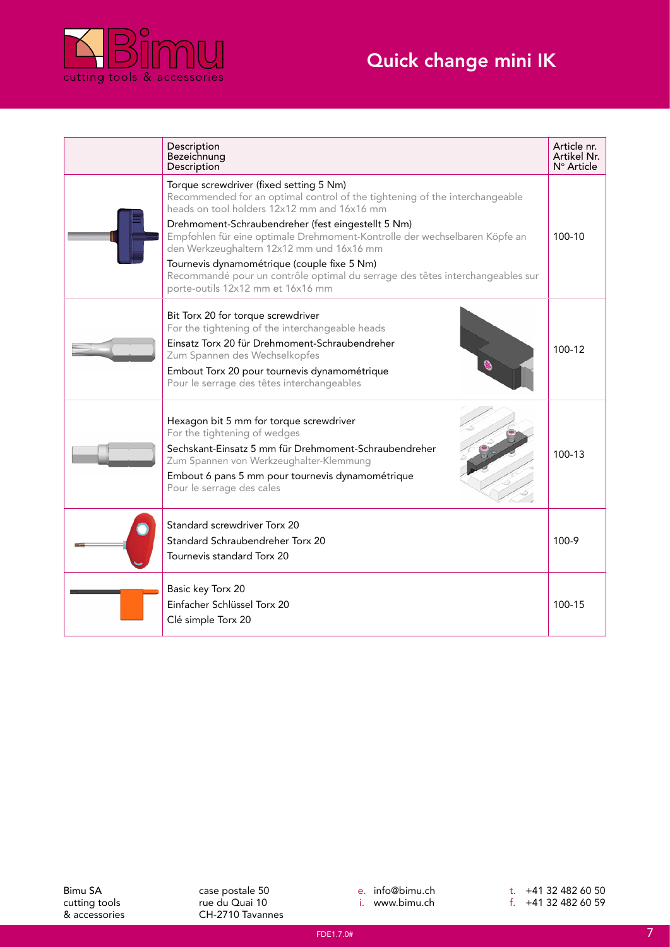



| Description<br>Bezeichnung<br>Description                                                                                                                                                                                                                                                                                                                                                                                                                                                                                   | Article nr.<br>Artikel Nr.<br>Nº Article |
|-----------------------------------------------------------------------------------------------------------------------------------------------------------------------------------------------------------------------------------------------------------------------------------------------------------------------------------------------------------------------------------------------------------------------------------------------------------------------------------------------------------------------------|------------------------------------------|
| Torque screwdriver (fixed setting 5 Nm)<br>Recommended for an optimal control of the tightening of the interchangeable<br>heads on tool holders 12x12 mm and 16x16 mm<br>Drehmoment-Schraubendreher (fest eingestellt 5 Nm)<br>Empfohlen für eine optimale Drehmoment-Kontrolle der wechselbaren Köpfe an<br>den Werkzeughaltern 12x12 mm und 16x16 mm<br>Tournevis dynamométrique (couple fixe 5 Nm)<br>Recommandé pour un contrôle optimal du serrage des têtes interchangeables sur<br>porte-outils 12x12 mm et 16x16 mm | 100-10                                   |
| Bit Torx 20 for torque screwdriver<br>For the tightening of the interchangeable heads<br>Einsatz Torx 20 für Drehmoment-Schraubendreher<br>Zum Spannen des Wechselkopfes<br>Embout Torx 20 pour tournevis dynamométrique<br>Pour le serrage des têtes interchangeables                                                                                                                                                                                                                                                      | 100-12                                   |
| Hexagon bit 5 mm for torque screwdriver<br>For the tightening of wedges<br>Sechskant-Einsatz 5 mm für Drehmoment-Schraubendreher<br>Zum Spannen von Werkzeughalter-Klemmung<br>Embout 6 pans 5 mm pour tournevis dynamométrique<br>Pour le serrage des cales                                                                                                                                                                                                                                                                | 100-13                                   |
| Standard screwdriver Torx 20<br>Standard Schraubendreher Torx 20<br>Tournevis standard Torx 20                                                                                                                                                                                                                                                                                                                                                                                                                              | 100-9                                    |
| Basic key Torx 20<br>Einfacher Schlüssel Torx 20<br>Clé simple Torx 20                                                                                                                                                                                                                                                                                                                                                                                                                                                      | 100-15                                   |

Bimu SA cutting tools & accessories case postale 50 rue du Quai 10 CH-2710 Tavannes e. info@bimu.ch i. www.bimu.ch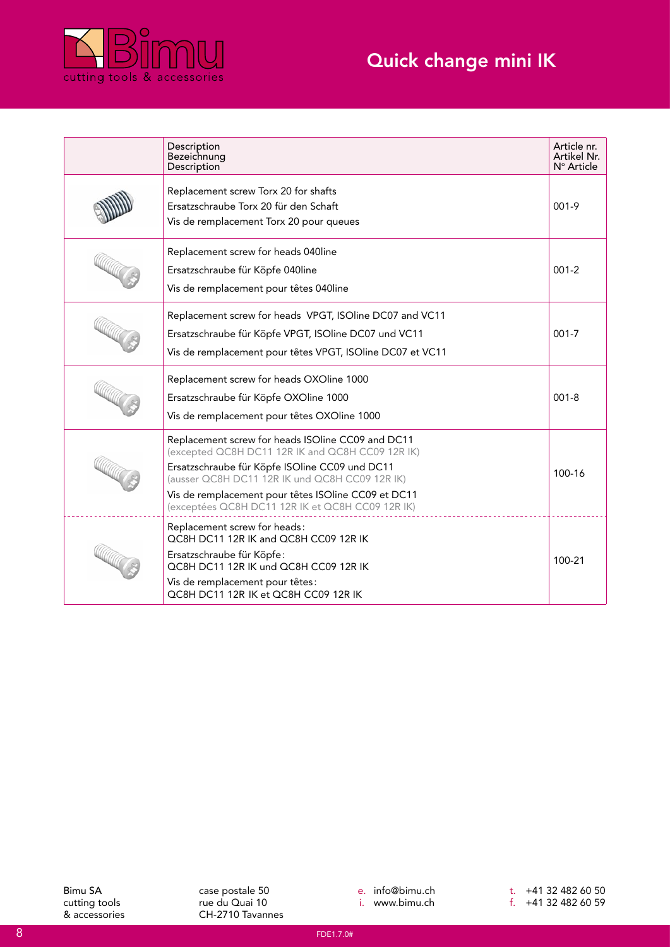



| Description<br>Bezeichnung<br>Description                                                                                                                                                                                                                                                                            | Article nr.<br>Artikel Nr.<br>Nº Article |
|----------------------------------------------------------------------------------------------------------------------------------------------------------------------------------------------------------------------------------------------------------------------------------------------------------------------|------------------------------------------|
| Replacement screw Torx 20 for shafts<br>Ersatzschraube Torx 20 für den Schaft<br>Vis de remplacement Torx 20 pour queues                                                                                                                                                                                             | $001-9$                                  |
| Replacement screw for heads 040line<br>Ersatzschraube für Köpfe 040line<br>Vis de remplacement pour têtes 040line                                                                                                                                                                                                    | $001 - 2$                                |
| Replacement screw for heads VPGT, ISOline DC07 and VC11<br>Ersatzschraube für Köpfe VPGT, ISOline DC07 und VC11<br>Vis de remplacement pour têtes VPGT, ISOline DC07 et VC11                                                                                                                                         | $001 - 7$                                |
| Replacement screw for heads OXOline 1000<br>Ersatzschraube für Köpfe OXOline 1000<br>Vis de remplacement pour têtes OXOline 1000                                                                                                                                                                                     | $001 - 8$                                |
| Replacement screw for heads ISOline CC09 and DC11<br>(excepted QC8H DC11 12R IK and QC8H CC09 12R IK)<br>Ersatzschraube für Köpfe ISOline CC09 und DC11<br>(ausser QC8H DC11 12R IK und QC8H CC09 12R IK)<br>Vis de remplacement pour têtes ISOline CC09 et DC11<br>(exceptées QC8H DC11 12R IK et QC8H CC09 12R IK) | 100-16                                   |
| Replacement screw for heads:<br>QC8H DC11 12R IK and QC8H CC09 12R IK<br>Ersatzschraube für Köpfe:<br>QC8H DC11 12R IK und QC8H CC09 12R IK<br>Vis de remplacement pour têtes:<br>QC8H DC11 12R IK et QC8H CC09 12R IK                                                                                               | $100 - 21$                               |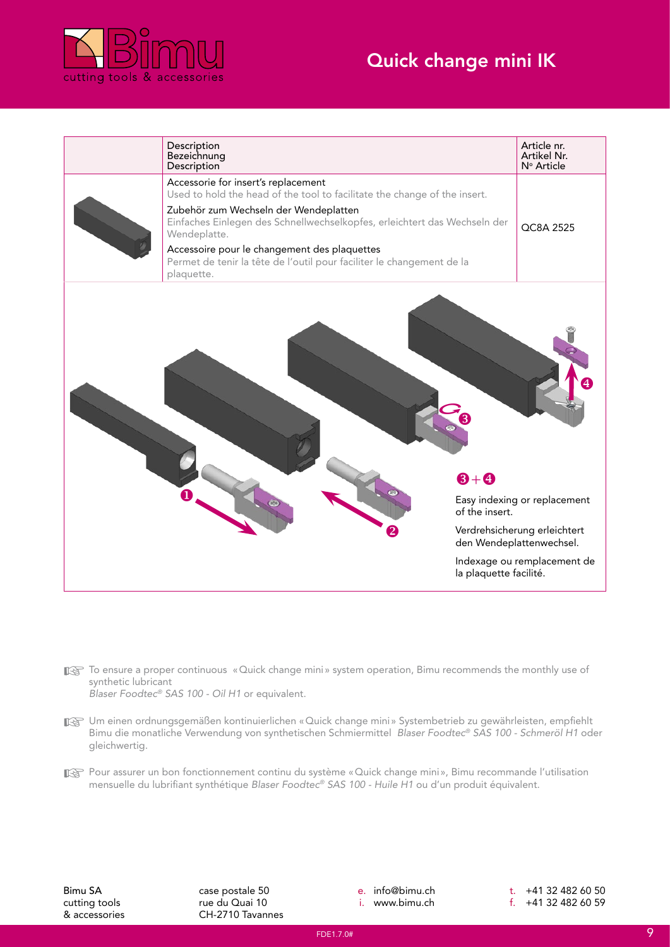

| Description<br>Bezeichnung<br><b>Description</b>                                                                                                                                                                                                                                                                                                                                              | Article nr.<br>Artikel Nr.<br>Nº Article                                                                                |
|-----------------------------------------------------------------------------------------------------------------------------------------------------------------------------------------------------------------------------------------------------------------------------------------------------------------------------------------------------------------------------------------------|-------------------------------------------------------------------------------------------------------------------------|
| Accessorie for insert's replacement<br>Used to hold the head of the tool to facilitate the change of the insert.<br>Zubehör zum Wechseln der Wendeplatten<br>Einfaches Einlegen des Schnellwechselkopfes, erleichtert das Wechseln der<br>Wendeplatte.<br>Accessoire pour le changement des plaquettes<br>Permet de tenir la tête de l'outil pour faciliter le changement de la<br>plaquette. | QC8A 2525                                                                                                               |
| $6+9$<br>of the insert.<br>la plaquette facilité.                                                                                                                                                                                                                                                                                                                                             | Easy indexing or replacement<br>Verdrehsicherung erleichtert<br>den Wendeplattenwechsel.<br>Indexage ou remplacement de |

- ■<a>
To ensure a proper continuous «Quick change mini» system operation, Bimu recommends the monthly use of synthetic lubricant *Blaser Foodtec® SAS 100 - Oil H1* or equivalent.
- ■<br />
Um einen ordnungsgemäßen kontinuierlichen «Quick change mini» Systembetrieb zu gewährleisten, empfiehlt Bimu die monatliche Verwendung von synthetischen Schmiermittel *Blaser Foodtec® SAS 100 - Schmeröl H1* oder gleichwertig.
- ■<br />
Pour assurer un bon fonctionnement continu du système «Quick change mini », Bimu recommande l'utilisation mensuelle du lubrifiant synthétique *Blaser Foodtec® SAS 100 - Huile H1* ou d'un produit équivalent.

Bimu SA cutting tools & accessories case postale 50 rue du Quai 10 CH-2710 Tavannes e. info@bimu.ch i. www.bimu.ch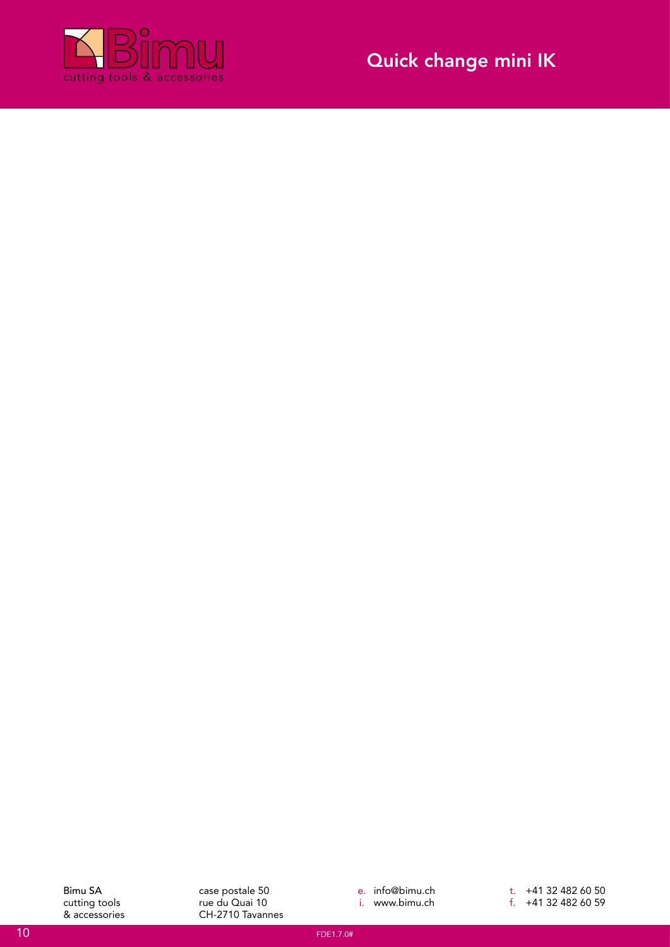

Bimu SA cutting tools & accessories case postale 50 rue du Quai 10 CH-2710 Tavannes e. info@bimu.ch

i. www.bimu.ch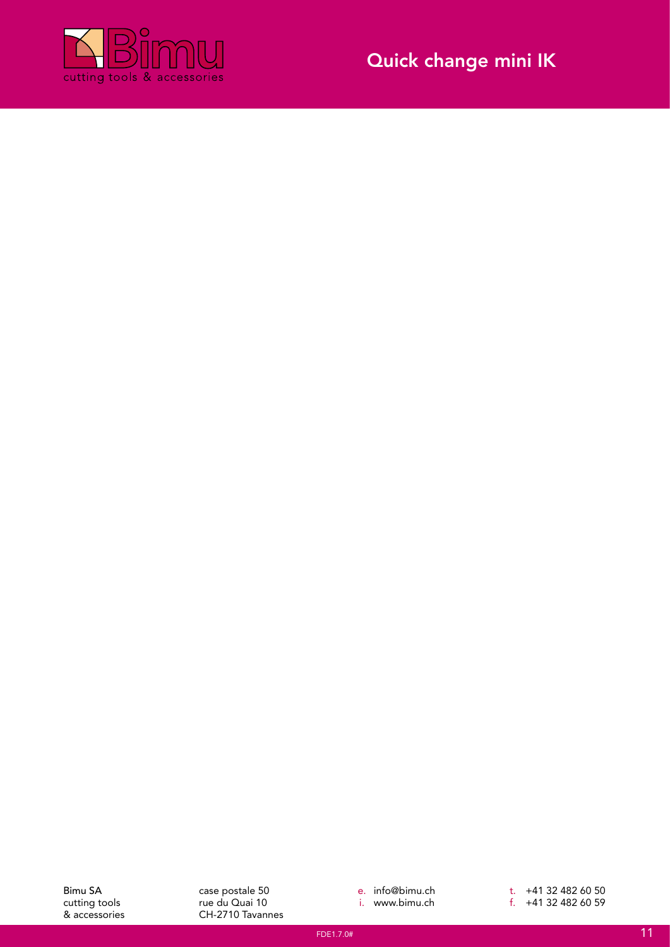

Bimu SA cutting tools & accessories case postale 50 rue du Quai 10 CH-2710 Tavannes e. info@bimu.ch i. www.bimu.ch